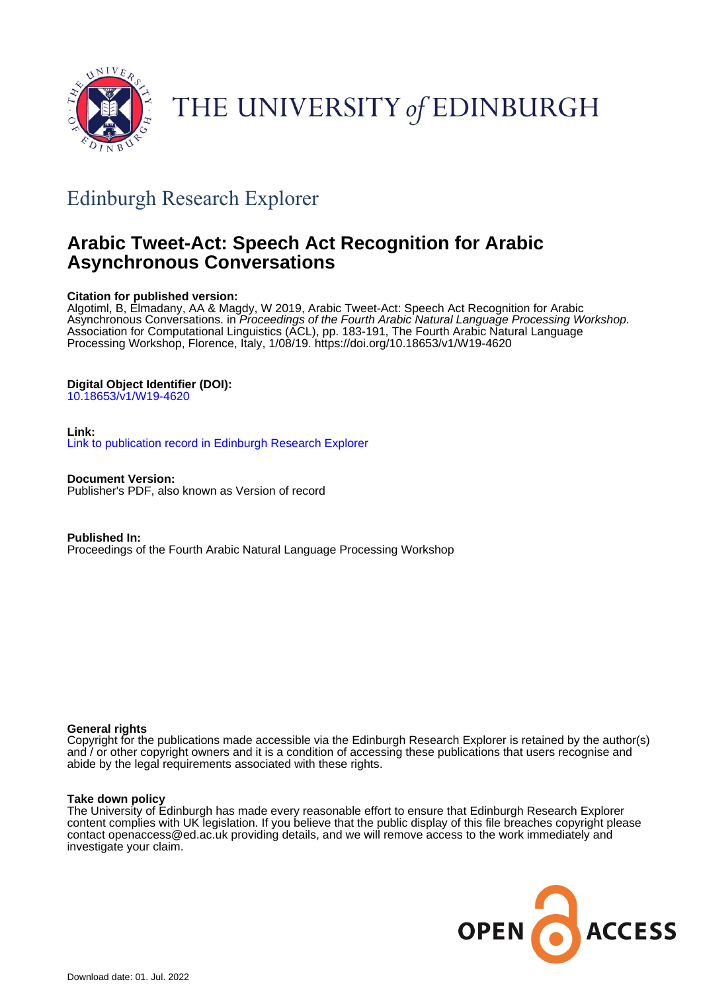

# THE UNIVERSITY of EDINBURGH

## Edinburgh Research Explorer

## **Arabic Tweet-Act: Speech Act Recognition for Arabic Asynchronous Conversations**

#### **Citation for published version:**

Algotiml, B, Elmadany, AA & Magdy, W 2019, Arabic Tweet-Act: Speech Act Recognition for Arabic Asynchronous Conversations. in *Proceedings of the Fourth Arabic Natural Language Processing Workshop.* Association for Computational Linguistics (ACL), pp. 183-191, The Fourth Arabic Natural Language Processing Workshop, Florence, Italy, 1/08/19.<https://doi.org/10.18653/v1/W19-4620>

#### **Digital Object Identifier (DOI):**

[10.18653/v1/W19-4620](https://doi.org/10.18653/v1/W19-4620)

#### **Link:**

[Link to publication record in Edinburgh Research Explorer](https://www.research.ed.ac.uk/en/publications/43b2bffe-9735-4cc8-824f-2e9d3dce6945)

**Document Version:** Publisher's PDF, also known as Version of record

**Published In:** Proceedings of the Fourth Arabic Natural Language Processing Workshop

#### **General rights**

Copyright for the publications made accessible via the Edinburgh Research Explorer is retained by the author(s) and / or other copyright owners and it is a condition of accessing these publications that users recognise and abide by the legal requirements associated with these rights.

#### **Take down policy**

The University of Edinburgh has made every reasonable effort to ensure that Edinburgh Research Explorer content complies with UK legislation. If you believe that the public display of this file breaches copyright please contact openaccess@ed.ac.uk providing details, and we will remove access to the work immediately and investigate your claim.

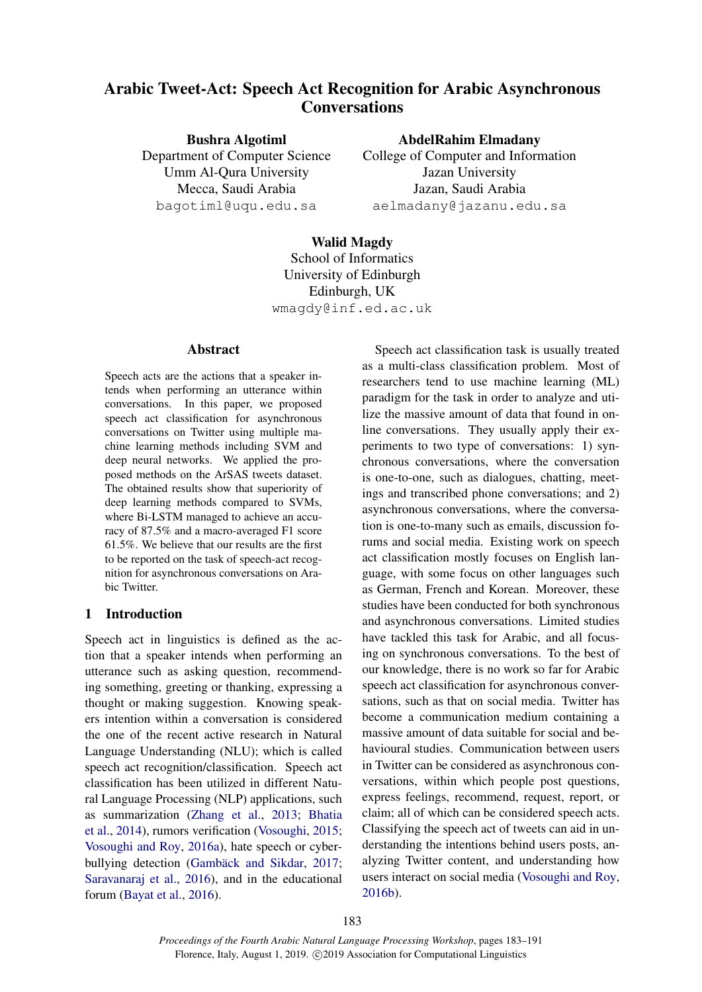### Arabic Tweet-Act: Speech Act Recognition for Arabic Asynchronous **Conversations**

Bushra Algotiml Department of Computer Science Umm Al-Qura University Mecca, Saudi Arabia bagotiml@uqu.edu.sa

AbdelRahim Elmadany

College of Computer and Information Jazan University Jazan, Saudi Arabia aelmadany@jazanu.edu.sa

## Walid Magdy

School of Informatics University of Edinburgh Edinburgh, UK wmagdy@inf.ed.ac.uk

#### Abstract

Speech acts are the actions that a speaker intends when performing an utterance within conversations. In this paper, we proposed speech act classification for asynchronous conversations on Twitter using multiple machine learning methods including SVM and deep neural networks. We applied the proposed methods on the ArSAS tweets dataset. The obtained results show that superiority of deep learning methods compared to SVMs, where Bi-LSTM managed to achieve an accuracy of 87.5% and a macro-averaged F1 score 61.5%. We believe that our results are the first to be reported on the task of speech-act recognition for asynchronous conversations on Arabic Twitter.

#### 1 Introduction

Speech act in linguistics is defined as the action that a speaker intends when performing an utterance such as asking question, recommending something, greeting or thanking, expressing a thought or making suggestion. Knowing speakers intention within a conversation is considered the one of the recent active research in Natural Language Understanding (NLU); which is called speech act recognition/classification. Speech act classification has been utilized in different Natural Language Processing (NLP) applications, such as summarization [\(Zhang et al.,](#page-9-0) [2013;](#page-9-0) [Bhatia](#page-8-0) [et al.,](#page-8-0) [2014\)](#page-8-0), rumors verification [\(Vosoughi,](#page-9-1) [2015;](#page-9-1) [Vosoughi and Roy,](#page-9-2) [2016a\)](#page-9-2), hate speech or cyber-bullying detection (Gambäck and Sikdar, [2017;](#page-8-1) [Saravanaraj et al.,](#page-8-2) [2016\)](#page-8-2), and in the educational forum [\(Bayat et al.,](#page-8-3) [2016\)](#page-8-3).

Speech act classification task is usually treated as a multi-class classification problem. Most of researchers tend to use machine learning (ML) paradigm for the task in order to analyze and utilize the massive amount of data that found in online conversations. They usually apply their experiments to two type of conversations: 1) synchronous conversations, where the conversation is one-to-one, such as dialogues, chatting, meetings and transcribed phone conversations; and 2) asynchronous conversations, where the conversation is one-to-many such as emails, discussion forums and social media. Existing work on speech act classification mostly focuses on English language, with some focus on other languages such as German, French and Korean. Moreover, these studies have been conducted for both synchronous and asynchronous conversations. Limited studies have tackled this task for Arabic, and all focusing on synchronous conversations. To the best of our knowledge, there is no work so far for Arabic speech act classification for asynchronous conversations, such as that on social media. Twitter has become a communication medium containing a massive amount of data suitable for social and behavioural studies. Communication between users in Twitter can be considered as asynchronous conversations, within which people post questions, express feelings, recommend, request, report, or claim; all of which can be considered speech acts. Classifying the speech act of tweets can aid in understanding the intentions behind users posts, analyzing Twitter content, and understanding how users interact on social media [\(Vosoughi and Roy,](#page-9-3) [2016b\)](#page-9-3).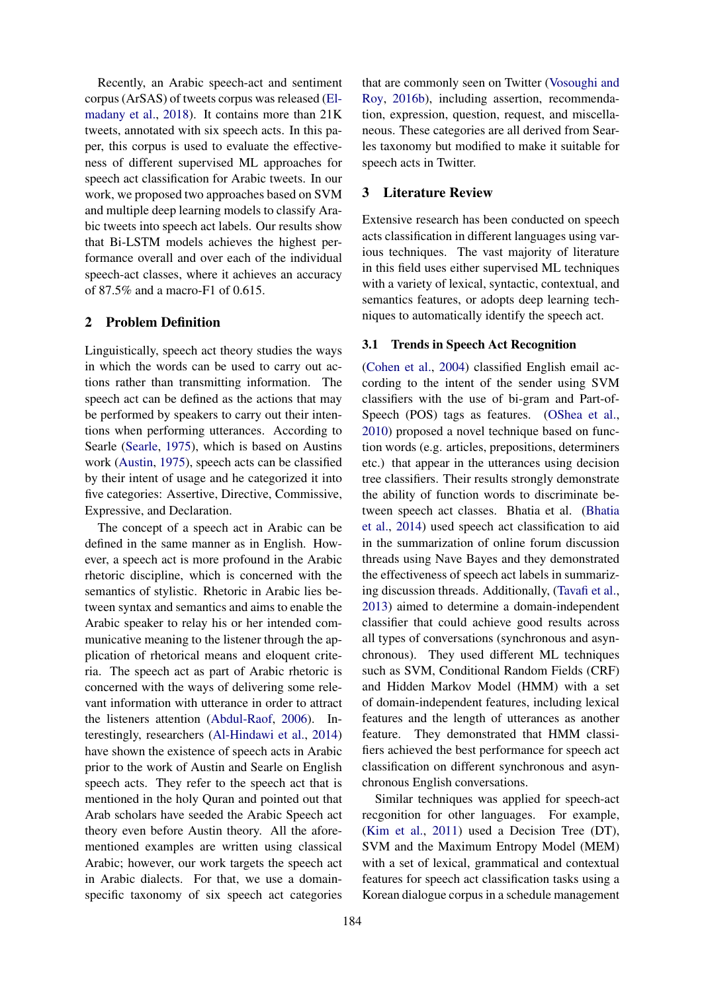Recently, an Arabic speech-act and sentiment corpus (ArSAS) of tweets corpus was released [\(El](#page-8-4)[madany et al.,](#page-8-4) [2018\)](#page-8-4). It contains more than 21K tweets, annotated with six speech acts. In this paper, this corpus is used to evaluate the effectiveness of different supervised ML approaches for speech act classification for Arabic tweets. In our work, we proposed two approaches based on SVM and multiple deep learning models to classify Arabic tweets into speech act labels. Our results show that Bi-LSTM models achieves the highest performance overall and over each of the individual speech-act classes, where it achieves an accuracy of 87.5% and a macro-F1 of 0.615.

#### 2 Problem Definition

Linguistically, speech act theory studies the ways in which the words can be used to carry out actions rather than transmitting information. The speech act can be defined as the actions that may be performed by speakers to carry out their intentions when performing utterances. According to Searle [\(Searle,](#page-8-5) [1975\)](#page-8-5), which is based on Austins work [\(Austin,](#page-8-6) [1975\)](#page-8-6), speech acts can be classified by their intent of usage and he categorized it into five categories: Assertive, Directive, Commissive, Expressive, and Declaration.

The concept of a speech act in Arabic can be defined in the same manner as in English. However, a speech act is more profound in the Arabic rhetoric discipline, which is concerned with the semantics of stylistic. Rhetoric in Arabic lies between syntax and semantics and aims to enable the Arabic speaker to relay his or her intended communicative meaning to the listener through the application of rhetorical means and eloquent criteria. The speech act as part of Arabic rhetoric is concerned with the ways of delivering some relevant information with utterance in order to attract the listeners attention [\(Abdul-Raof,](#page-8-7) [2006\)](#page-8-7). Interestingly, researchers [\(Al-Hindawi et al.,](#page-8-8) [2014\)](#page-8-8) have shown the existence of speech acts in Arabic prior to the work of Austin and Searle on English speech acts. They refer to the speech act that is mentioned in the holy Quran and pointed out that Arab scholars have seeded the Arabic Speech act theory even before Austin theory. All the aforementioned examples are written using classical Arabic; however, our work targets the speech act in Arabic dialects. For that, we use a domainspecific taxonomy of six speech act categories

that are commonly seen on Twitter [\(Vosoughi and](#page-9-3) [Roy,](#page-9-3) [2016b\)](#page-9-3), including assertion, recommendation, expression, question, request, and miscellaneous. These categories are all derived from Searles taxonomy but modified to make it suitable for speech acts in Twitter.

#### 3 Literature Review

Extensive research has been conducted on speech acts classification in different languages using various techniques. The vast majority of literature in this field uses either supervised ML techniques with a variety of lexical, syntactic, contextual, and semantics features, or adopts deep learning techniques to automatically identify the speech act.

#### 3.1 Trends in Speech Act Recognition

[\(Cohen et al.,](#page-8-9) [2004\)](#page-8-9) classified English email according to the intent of the sender using SVM classifiers with the use of bi-gram and Part-of-Speech (POS) tags as features. [\(OShea et al.,](#page-8-10) [2010\)](#page-8-10) proposed a novel technique based on function words (e.g. articles, prepositions, determiners etc.) that appear in the utterances using decision tree classifiers. Their results strongly demonstrate the ability of function words to discriminate between speech act classes. Bhatia et al. [\(Bhatia](#page-8-0) [et al.,](#page-8-0) [2014\)](#page-8-0) used speech act classification to aid in the summarization of online forum discussion threads using Nave Bayes and they demonstrated the effectiveness of speech act labels in summarizing discussion threads. Additionally, [\(Tavafi et al.,](#page-9-4) [2013\)](#page-9-4) aimed to determine a domain-independent classifier that could achieve good results across all types of conversations (synchronous and asynchronous). They used different ML techniques such as SVM, Conditional Random Fields (CRF) and Hidden Markov Model (HMM) with a set of domain-independent features, including lexical features and the length of utterances as another feature. They demonstrated that HMM classifiers achieved the best performance for speech act classification on different synchronous and asynchronous English conversations.

Similar techniques was applied for speech-act recgonition for other languages. For example, [\(Kim et al.,](#page-8-11) [2011\)](#page-8-11) used a Decision Tree (DT), SVM and the Maximum Entropy Model (MEM) with a set of lexical, grammatical and contextual features for speech act classification tasks using a Korean dialogue corpus in a schedule management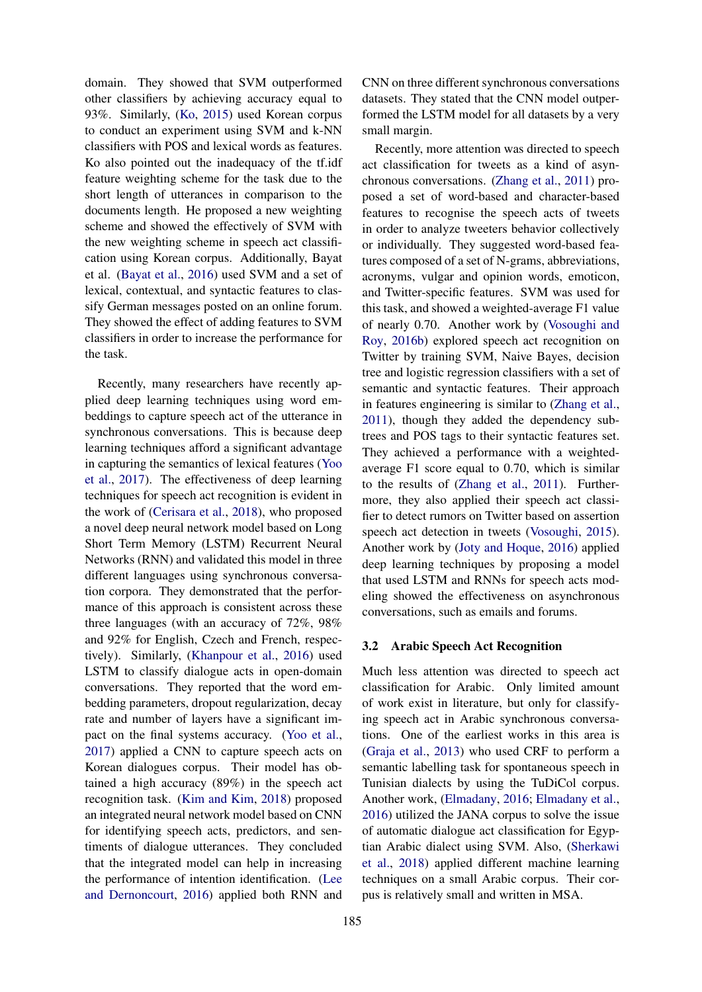domain. They showed that SVM outperformed other classifiers by achieving accuracy equal to 93%. Similarly, [\(Ko,](#page-8-12) [2015\)](#page-8-12) used Korean corpus to conduct an experiment using SVM and k-NN classifiers with POS and lexical words as features. Ko also pointed out the inadequacy of the tf.idf feature weighting scheme for the task due to the short length of utterances in comparison to the documents length. He proposed a new weighting scheme and showed the effectively of SVM with the new weighting scheme in speech act classification using Korean corpus. Additionally, Bayat et al. [\(Bayat et al.,](#page-8-3) [2016\)](#page-8-3) used SVM and a set of lexical, contextual, and syntactic features to classify German messages posted on an online forum. They showed the effect of adding features to SVM classifiers in order to increase the performance for the task.

Recently, many researchers have recently applied deep learning techniques using word embeddings to capture speech act of the utterance in synchronous conversations. This is because deep learning techniques afford a significant advantage in capturing the semantics of lexical features [\(Yoo](#page-9-5) [et al.,](#page-9-5) [2017\)](#page-9-5). The effectiveness of deep learning techniques for speech act recognition is evident in the work of [\(Cerisara et al.,](#page-8-13) [2018\)](#page-8-13), who proposed a novel deep neural network model based on Long Short Term Memory (LSTM) Recurrent Neural Networks (RNN) and validated this model in three different languages using synchronous conversation corpora. They demonstrated that the performance of this approach is consistent across these three languages (with an accuracy of 72%, 98% and 92% for English, Czech and French, respectively). Similarly, [\(Khanpour et al.,](#page-8-14) [2016\)](#page-8-14) used LSTM to classify dialogue acts in open-domain conversations. They reported that the word embedding parameters, dropout regularization, decay rate and number of layers have a significant impact on the final systems accuracy. [\(Yoo et al.,](#page-9-5) [2017\)](#page-9-5) applied a CNN to capture speech acts on Korean dialogues corpus. Their model has obtained a high accuracy (89%) in the speech act recognition task. [\(Kim and Kim,](#page-8-15) [2018\)](#page-8-15) proposed an integrated neural network model based on CNN for identifying speech acts, predictors, and sentiments of dialogue utterances. They concluded that the integrated model can help in increasing the performance of intention identification. [\(Lee](#page-8-16) [and Dernoncourt,](#page-8-16) [2016\)](#page-8-16) applied both RNN and CNN on three different synchronous conversations datasets. They stated that the CNN model outperformed the LSTM model for all datasets by a very small margin.

Recently, more attention was directed to speech act classification for tweets as a kind of asynchronous conversations. [\(Zhang et al.,](#page-9-6) [2011\)](#page-9-6) proposed a set of word-based and character-based features to recognise the speech acts of tweets in order to analyze tweeters behavior collectively or individually. They suggested word-based features composed of a set of N-grams, abbreviations, acronyms, vulgar and opinion words, emoticon, and Twitter-specific features. SVM was used for this task, and showed a weighted-average F1 value of nearly 0.70. Another work by [\(Vosoughi and](#page-9-3) [Roy,](#page-9-3) [2016b\)](#page-9-3) explored speech act recognition on Twitter by training SVM, Naive Bayes, decision tree and logistic regression classifiers with a set of semantic and syntactic features. Their approach in features engineering is similar to [\(Zhang et al.,](#page-9-6) [2011\)](#page-9-6), though they added the dependency subtrees and POS tags to their syntactic features set. They achieved a performance with a weightedaverage F1 score equal to 0.70, which is similar to the results of [\(Zhang et al.,](#page-9-6) [2011\)](#page-9-6). Furthermore, they also applied their speech act classifier to detect rumors on Twitter based on assertion speech act detection in tweets [\(Vosoughi,](#page-9-1) [2015\)](#page-9-1). Another work by [\(Joty and Hoque,](#page-8-17) [2016\)](#page-8-17) applied deep learning techniques by proposing a model that used LSTM and RNNs for speech acts modeling showed the effectiveness on asynchronous conversations, such as emails and forums.

#### 3.2 Arabic Speech Act Recognition

Much less attention was directed to speech act classification for Arabic. Only limited amount of work exist in literature, but only for classifying speech act in Arabic synchronous conversations. One of the earliest works in this area is [\(Graja et al.,](#page-8-18) [2013\)](#page-8-18) who used CRF to perform a semantic labelling task for spontaneous speech in Tunisian dialects by using the TuDiCol corpus. Another work, [\(Elmadany,](#page-8-19) [2016;](#page-8-19) [Elmadany et al.,](#page-8-20) [2016\)](#page-8-20) utilized the JANA corpus to solve the issue of automatic dialogue act classification for Egyptian Arabic dialect using SVM. Also, [\(Sherkawi](#page-9-7) [et al.,](#page-9-7) [2018\)](#page-9-7) applied different machine learning techniques on a small Arabic corpus. Their corpus is relatively small and written in MSA.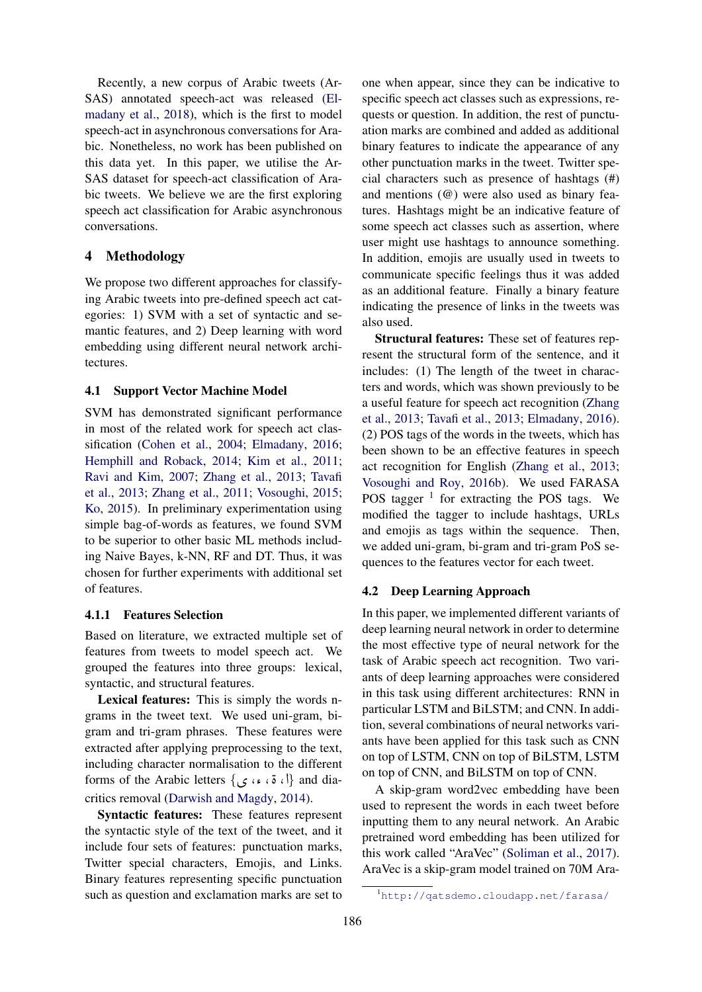Recently, a new corpus of Arabic tweets (Ar-SAS) annotated speech-act was released [\(El](#page-8-4)[madany et al.,](#page-8-4) [2018\)](#page-8-4), which is the first to model speech-act in asynchronous conversations for Arabic. Nonetheless, no work has been published on this data yet. In this paper, we utilise the Ar-SAS dataset for speech-act classification of Arabic tweets. We believe we are the first exploring speech act classification for Arabic asynchronous conversations.

#### 4 Methodology

We propose two different approaches for classifying Arabic tweets into pre-defined speech act categories: 1) SVM with a set of syntactic and semantic features, and 2) Deep learning with word embedding using different neural network architectures.

#### 4.1 Support Vector Machine Model

SVM has demonstrated significant performance in most of the related work for speech act classification [\(Cohen et al.,](#page-8-9) [2004;](#page-8-9) [Elmadany,](#page-8-19) [2016;](#page-8-19) [Hemphill and Roback,](#page-8-21) [2014;](#page-8-21) [Kim et al.,](#page-8-11) [2011;](#page-8-11) [Ravi and Kim,](#page-8-22) [2007;](#page-8-22) [Zhang et al.,](#page-9-0) [2013;](#page-9-0) [Tavafi](#page-9-4) [et al.,](#page-9-4) [2013;](#page-9-4) [Zhang et al.,](#page-9-6) [2011;](#page-9-6) [Vosoughi,](#page-9-1) [2015;](#page-9-1) [Ko,](#page-8-12) [2015\)](#page-8-12). In preliminary experimentation using simple bag-of-words as features, we found SVM to be superior to other basic ML methods including Naive Bayes, k-NN, RF and DT. Thus, it was chosen for further experiments with additional set of features.

#### 4.1.1 Features Selection

Based on literature, we extracted multiple set of features from tweets to model speech act. We grouped the features into three groups: lexical, syntactic, and structural features.

Lexical features: This is simply the words ngrams in the tweet text. We used uni-gram, bigram and tri-gram phrases. These features were extracted after applying preprocessing to the text, including character normalisation to the different forms of the Arabic letters  $\{ \, \sigma \, : \, \alpha \}$  and dia- $\frac{1}{1}$ critics removal [\(Darwish and Magdy,](#page-8-23) [2014\)](#page-8-23).

Syntactic features: These features represent the syntactic style of the text of the tweet, and it include four sets of features: punctuation marks, Twitter special characters, Emojis, and Links. Binary features representing specific punctuation such as question and exclamation marks are set to

one when appear, since they can be indicative to specific speech act classes such as expressions, requests or question. In addition, the rest of punctuation marks are combined and added as additional binary features to indicate the appearance of any other punctuation marks in the tweet. Twitter special characters such as presence of hashtags (#) and mentions (@) were also used as binary features. Hashtags might be an indicative feature of some speech act classes such as assertion, where user might use hashtags to announce something. In addition, emojis are usually used in tweets to communicate specific feelings thus it was added as an additional feature. Finally a binary feature indicating the presence of links in the tweets was also used.

Structural features: These set of features represent the structural form of the sentence, and it includes: (1) The length of the tweet in characters and words, which was shown previously to be a useful feature for speech act recognition [\(Zhang](#page-9-0) [et al.,](#page-9-0) [2013;](#page-9-0) [Tavafi et al.,](#page-9-4) [2013;](#page-9-4) [Elmadany,](#page-8-19) [2016\)](#page-8-19). (2) POS tags of the words in the tweets, which has been shown to be an effective features in speech act recognition for English [\(Zhang et al.,](#page-9-0) [2013;](#page-9-0) [Vosoughi and Roy,](#page-9-3) [2016b\)](#page-9-3). We used FARASA POS tagger  $1$  for extracting the POS tags. We modified the tagger to include hashtags, URLs and emojis as tags within the sequence. Then, we added uni-gram, bi-gram and tri-gram PoS sequences to the features vector for each tweet.

#### 4.2 Deep Learning Approach

In this paper, we implemented different variants of deep learning neural network in order to determine the most effective type of neural network for the task of Arabic speech act recognition. Two variants of deep learning approaches were considered in this task using different architectures: RNN in particular LSTM and BiLSTM; and CNN. In addition, several combinations of neural networks variants have been applied for this task such as CNN on top of LSTM, CNN on top of BiLSTM, LSTM on top of CNN, and BiLSTM on top of CNN.

A skip-gram word2vec embedding have been used to represent the words in each tweet before inputting them to any neural network. An Arabic pretrained word embedding has been utilized for this work called "AraVec" [\(Soliman et al.,](#page-9-8) [2017\)](#page-9-8). AraVec is a skip-gram model trained on 70M Ara-

<span id="page-4-0"></span><sup>1</sup><http://qatsdemo.cloudapp.net/farasa/>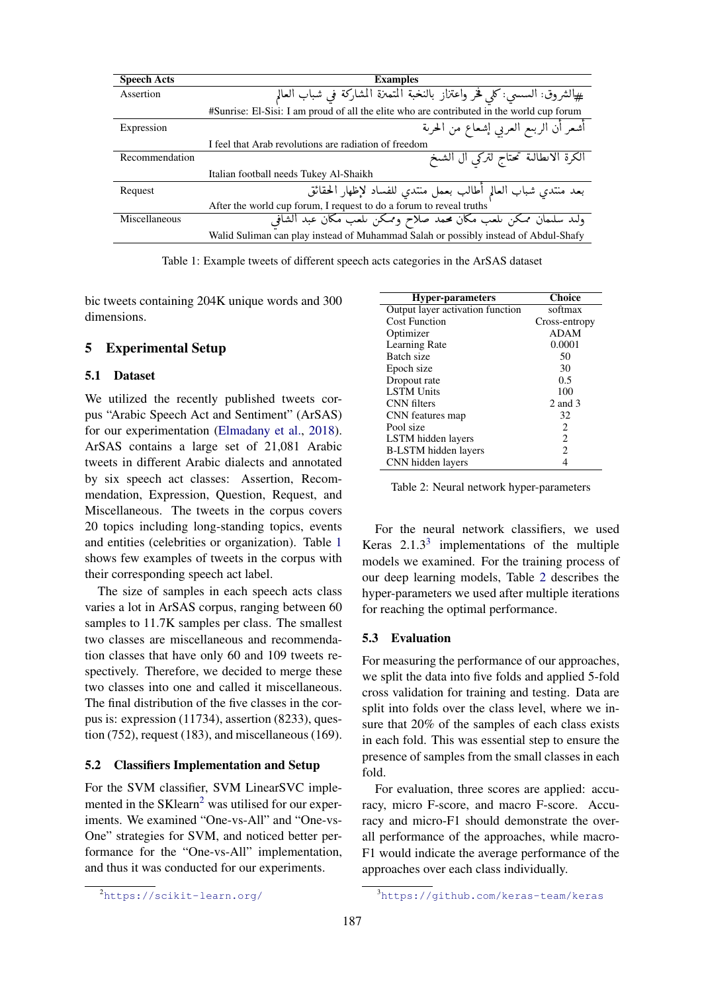<span id="page-5-0"></span>

| <b>Speech Acts</b> | <b>Examples</b>                                                                           |  |  |
|--------------------|-------------------------------------------------------------------------------------------|--|--|
| Assertion          | #الشروق: السسى: كلي فخر واعتزاز بالنخبة المتميزة المشاركة في شباب العالم                  |  |  |
|                    | #Sunrise: El-Sisi: I am proud of all the elite who are contributed in the world cup forum |  |  |
| Expression         | أشعر أن الربىع العربى إشعاع من الحرىة                                                     |  |  |
|                    | I feel that Arab revolutions are radiation of freedom                                     |  |  |
| Recommendation     | الكرة الانطالية تحتاج لتركي ال الشيخ                                                      |  |  |
|                    | Italian football needs Tukey Al-Shaikh                                                    |  |  |
| Request            | بعد منتدي شباب العالم أطالب بعمل منتدي للفساد لإظهار الحقائق                              |  |  |
|                    | After the world cup forum, I request to do a forum to reveal truths                       |  |  |
| Miscellaneous      | ولىد سلىمان ممكن ىلعب مكان محمد صلاح وممكن ىلعب مكان عبد الشافي                           |  |  |
|                    | Walid Suliman can play instead of Muhammad Salah or possibly instead of Abdul-Shafy       |  |  |

Table 1: Example tweets of different speech acts categories in the ArSAS dataset

bic tweets containing 204K unique words and 300 dimensions.

#### 5 Experimental Setup

#### 5.1 Dataset

We utilized the recently published tweets corpus "Arabic Speech Act and Sentiment" (ArSAS) for our experimentation [\(Elmadany et al.,](#page-8-4) [2018\)](#page-8-4). ArSAS contains a large set of 21,081 Arabic tweets in different Arabic dialects and annotated by six speech act classes: Assertion, Recommendation, Expression, Question, Request, and Miscellaneous. The tweets in the corpus covers 20 topics including long-standing topics, events and entities (celebrities or organization). Table [1](#page-5-0) shows few examples of tweets in the corpus with their corresponding speech act label.

The size of samples in each speech acts class varies a lot in ArSAS corpus, ranging between 60 samples to 11.7K samples per class. The smallest two classes are miscellaneous and recommendation classes that have only 60 and 109 tweets respectively. Therefore, we decided to merge these two classes into one and called it miscellaneous. The final distribution of the five classes in the corpus is: expression (11734), assertion (8233), question (752), request (183), and miscellaneous (169).

#### 5.2 Classifiers Implementation and Setup

For the SVM classifier, SVM LinearSVC implemented in the  $SKlearn<sup>2</sup>$  $SKlearn<sup>2</sup>$  $SKlearn<sup>2</sup>$  was utilised for our experiments. We examined "One-vs-All" and "One-vs-One" strategies for SVM, and noticed better performance for the "One-vs-All" implementation, and thus it was conducted for our experiments.

<span id="page-5-3"></span>

| <b>Hyper-parameters</b>          | <b>Choice</b>  |
|----------------------------------|----------------|
| Output layer activation function | softmax        |
| <b>Cost Function</b>             | Cross-entropy  |
| Optimizer                        | <b>ADAM</b>    |
| Learning Rate                    | 0.0001         |
| Batch size                       | 50             |
| Epoch size                       | 30             |
| Dropout rate                     | 0.5            |
| <b>LSTM Units</b>                | 100            |
| <b>CNN</b> filters               | 2 and 3        |
| CNN features map                 | 32             |
| Pool size                        | 2              |
| LSTM hidden layers               | $\overline{c}$ |
| B-LSTM hidden layers             | 2              |
| CNN hidden layers                | 4              |

Table 2: Neural network hyper-parameters

For the neural network classifiers, we used Keras  $2.1.3<sup>3</sup>$  $2.1.3<sup>3</sup>$  $2.1.3<sup>3</sup>$  implementations of the multiple models we examined. For the training process of our deep learning models, Table [2](#page-5-3) describes the hyper-parameters we used after multiple iterations for reaching the optimal performance.

#### 5.3 Evaluation

For measuring the performance of our approaches, we split the data into five folds and applied 5-fold cross validation for training and testing. Data are split into folds over the class level, where we insure that 20% of the samples of each class exists in each fold. This was essential step to ensure the presence of samples from the small classes in each fold.

For evaluation, three scores are applied: accuracy, micro F-score, and macro F-score. Accuracy and micro-F1 should demonstrate the overall performance of the approaches, while macro-F1 would indicate the average performance of the approaches over each class individually.

<span id="page-5-1"></span><sup>2</sup><https://scikit-learn.org/>

<span id="page-5-2"></span><sup>3</sup><https://github.com/keras-team/keras>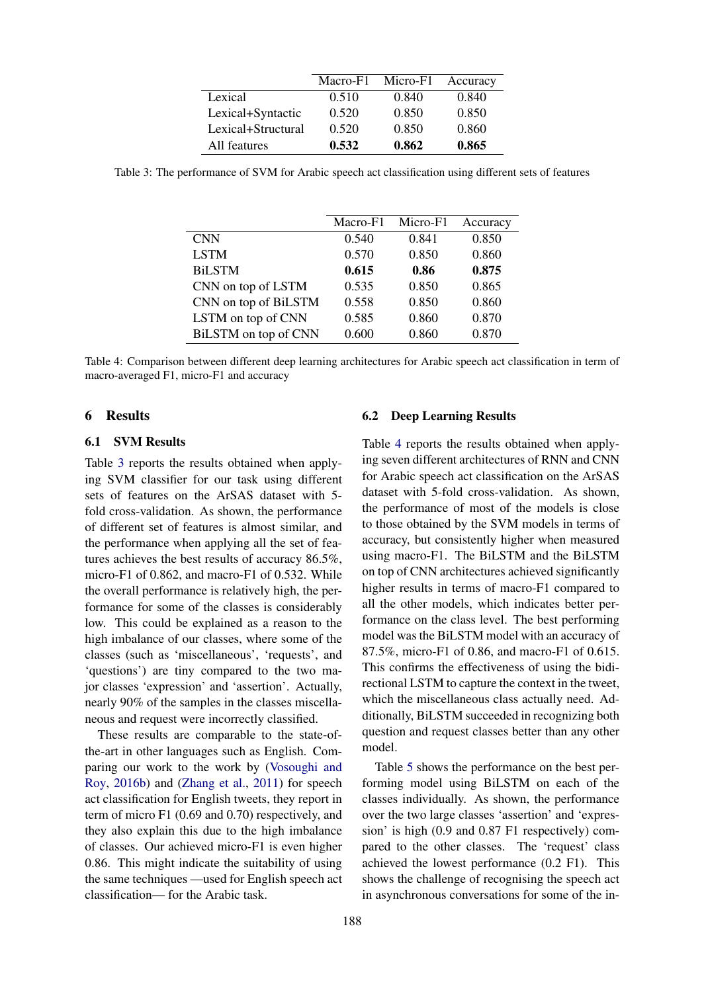|                    | Macro-F1 | Micro-F1 | Accuracy |
|--------------------|----------|----------|----------|
| Lexical            | 0.510    | 0.840    | 0.840    |
| Lexical+Syntactic  | 0.520    | 0.850    | 0.850    |
| Lexical+Structural | 0.520    | 0.850    | 0.860    |
| All features       | 0.532    | 0.862    | 0.865    |

<span id="page-6-0"></span>Table 3: The performance of SVM for Arabic speech act classification using different sets of features

|                      | Macro-F1 | Micro-F1 | Accuracy |
|----------------------|----------|----------|----------|
| <b>CNN</b>           | 0.540    | 0.841    | 0.850    |
| <b>LSTM</b>          | 0.570    | 0.850    | 0.860    |
| <b>BiLSTM</b>        | 0.615    | 0.86     | 0.875    |
| CNN on top of LSTM   | 0.535    | 0.850    | 0.865    |
| CNN on top of BiLSTM | 0.558    | 0.850    | 0.860    |
| LSTM on top of CNN   | 0.585    | 0.860    | 0.870    |
| BiLSTM on top of CNN | 0.600    | 0.860    | 0.870    |

Table 4: Comparison between different deep learning architectures for Arabic speech act classification in term of macro-averaged F1, micro-F1 and accuracy

#### 6 Results

#### 6.1 SVM Results

Table [3](#page-6-0) reports the results obtained when applying SVM classifier for our task using different sets of features on the ArSAS dataset with 5 fold cross-validation. As shown, the performance of different set of features is almost similar, and the performance when applying all the set of features achieves the best results of accuracy 86.5%, micro-F1 of 0.862, and macro-F1 of 0.532. While the overall performance is relatively high, the performance for some of the classes is considerably low. This could be explained as a reason to the high imbalance of our classes, where some of the classes (such as 'miscellaneous', 'requests', and 'questions') are tiny compared to the two major classes 'expression' and 'assertion'. Actually, nearly 90% of the samples in the classes miscellaneous and request were incorrectly classified.

These results are comparable to the state-ofthe-art in other languages such as English. Comparing our work to the work by [\(Vosoughi and](#page-9-3) [Roy,](#page-9-3) [2016b\)](#page-9-3) and [\(Zhang et al.,](#page-9-6) [2011\)](#page-9-6) for speech act classification for English tweets, they report in term of micro F1 (0.69 and 0.70) respectively, and they also explain this due to the high imbalance of classes. Our achieved micro-F1 is even higher 0.86. This might indicate the suitability of using the same techniques —used for English speech act classification— for the Arabic task.

#### 6.2 Deep Learning Results

Table [4](#page-6-0) reports the results obtained when applying seven different architectures of RNN and CNN for Arabic speech act classification on the ArSAS dataset with 5-fold cross-validation. As shown, the performance of most of the models is close to those obtained by the SVM models in terms of accuracy, but consistently higher when measured using macro-F1. The BiLSTM and the BiLSTM on top of CNN architectures achieved significantly higher results in terms of macro-F1 compared to all the other models, which indicates better performance on the class level. The best performing model was the BiLSTM model with an accuracy of 87.5%, micro-F1 of 0.86, and macro-F1 of 0.615. This confirms the effectiveness of using the bidirectional LSTM to capture the context in the tweet, which the miscellaneous class actually need. Additionally, BiLSTM succeeded in recognizing both question and request classes better than any other model.

Table [5](#page-7-0) shows the performance on the best performing model using BiLSTM on each of the classes individually. As shown, the performance over the two large classes 'assertion' and 'expression' is high (0.9 and 0.87 F1 respectively) compared to the other classes. The 'request' class achieved the lowest performance (0.2 F1). This shows the challenge of recognising the speech act in asynchronous conversations for some of the in-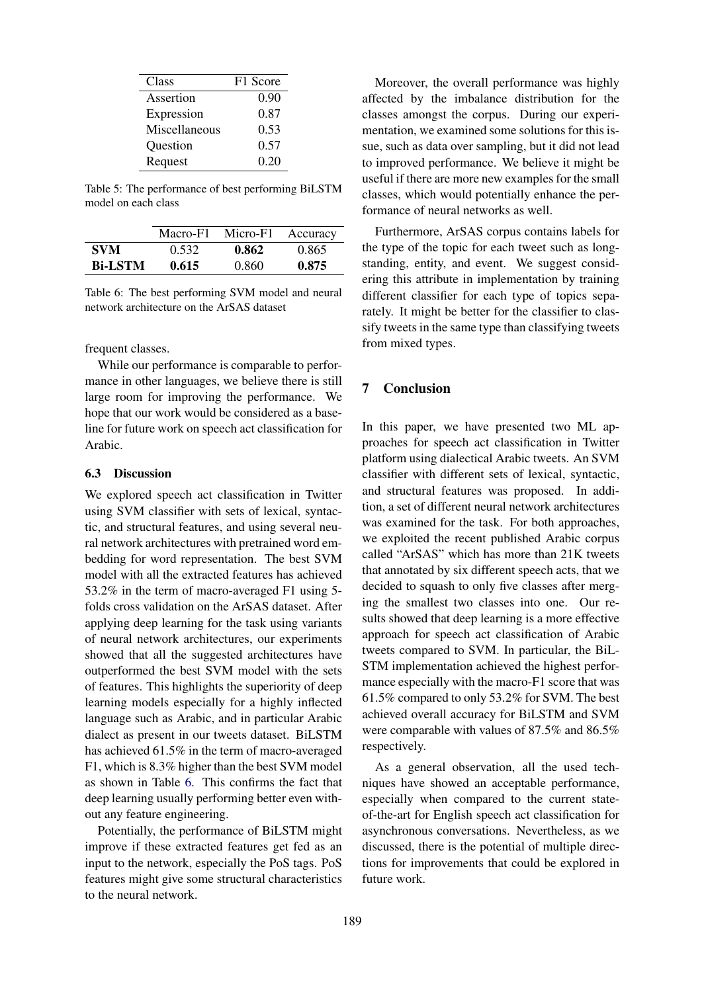<span id="page-7-0"></span>

| Class         | F1 Score |
|---------------|----------|
| Assertion     | 0.90     |
| Expression    | 0.87     |
| Miscellaneous | 0.53     |
| Question      | 0.57     |
| Request       | 0.20     |

Table 5: The performance of best performing BiLSTM model on each class

<span id="page-7-1"></span>

|                | Macro-F1 | Micro-F1 | Accuracy |
|----------------|----------|----------|----------|
| <b>SVM</b>     | 0.532    | 0.862    | 0.865    |
| <b>Bi-LSTM</b> | 0.615    | 0.860    | 0.875    |

Table 6: The best performing SVM model and neural network architecture on the ArSAS dataset

frequent classes.

While our performance is comparable to performance in other languages, we believe there is still large room for improving the performance. We hope that our work would be considered as a baseline for future work on speech act classification for Arabic.

#### 6.3 Discussion

We explored speech act classification in Twitter using SVM classifier with sets of lexical, syntactic, and structural features, and using several neural network architectures with pretrained word embedding for word representation. The best SVM model with all the extracted features has achieved 53.2% in the term of macro-averaged F1 using 5 folds cross validation on the ArSAS dataset. After applying deep learning for the task using variants of neural network architectures, our experiments showed that all the suggested architectures have outperformed the best SVM model with the sets of features. This highlights the superiority of deep learning models especially for a highly inflected language such as Arabic, and in particular Arabic dialect as present in our tweets dataset. BiLSTM has achieved 61.5% in the term of macro-averaged F1, which is 8.3% higher than the best SVM model as shown in Table [6.](#page-7-1) This confirms the fact that deep learning usually performing better even without any feature engineering.

Potentially, the performance of BiLSTM might improve if these extracted features get fed as an input to the network, especially the PoS tags. PoS features might give some structural characteristics to the neural network.

Moreover, the overall performance was highly affected by the imbalance distribution for the classes amongst the corpus. During our experimentation, we examined some solutions for this issue, such as data over sampling, but it did not lead to improved performance. We believe it might be useful if there are more new examples for the small classes, which would potentially enhance the performance of neural networks as well.

Furthermore, ArSAS corpus contains labels for the type of the topic for each tweet such as longstanding, entity, and event. We suggest considering this attribute in implementation by training different classifier for each type of topics separately. It might be better for the classifier to classify tweets in the same type than classifying tweets from mixed types.

#### 7 Conclusion

In this paper, we have presented two ML approaches for speech act classification in Twitter platform using dialectical Arabic tweets. An SVM classifier with different sets of lexical, syntactic, and structural features was proposed. In addition, a set of different neural network architectures was examined for the task. For both approaches, we exploited the recent published Arabic corpus called "ArSAS" which has more than 21K tweets that annotated by six different speech acts, that we decided to squash to only five classes after merging the smallest two classes into one. Our results showed that deep learning is a more effective approach for speech act classification of Arabic tweets compared to SVM. In particular, the BiL-STM implementation achieved the highest performance especially with the macro-F1 score that was 61.5% compared to only 53.2% for SVM. The best achieved overall accuracy for BiLSTM and SVM were comparable with values of 87.5% and 86.5% respectively.

As a general observation, all the used techniques have showed an acceptable performance, especially when compared to the current stateof-the-art for English speech act classification for asynchronous conversations. Nevertheless, as we discussed, there is the potential of multiple directions for improvements that could be explored in future work.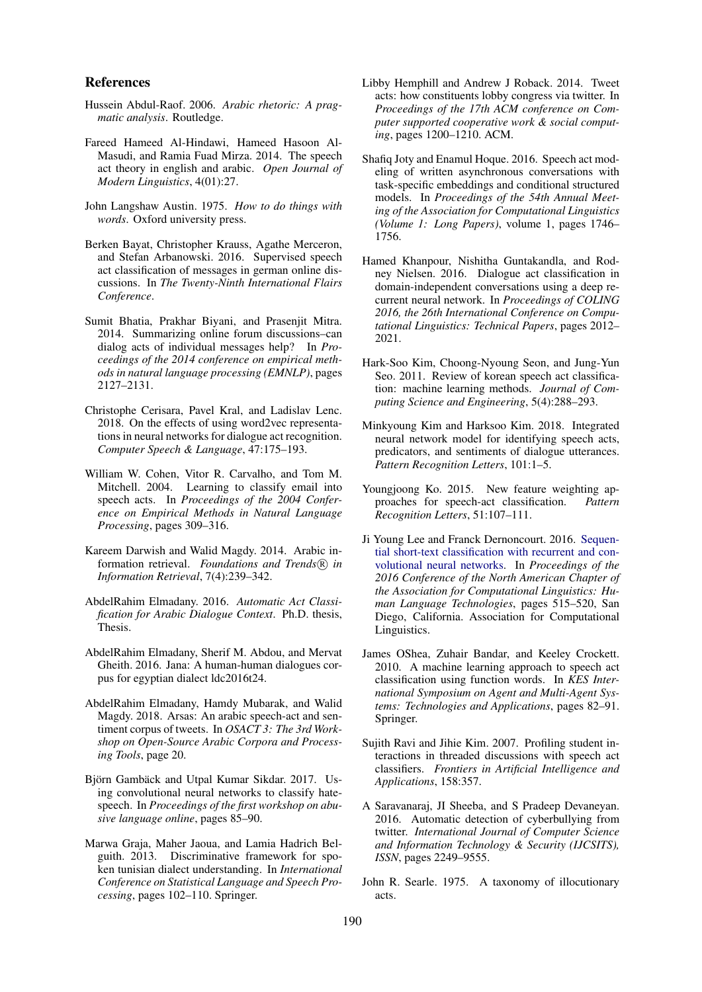#### References

- <span id="page-8-7"></span>Hussein Abdul-Raof. 2006. *Arabic rhetoric: A pragmatic analysis*. Routledge.
- <span id="page-8-8"></span>Fareed Hameed Al-Hindawi, Hameed Hasoon Al-Masudi, and Ramia Fuad Mirza. 2014. The speech act theory in english and arabic. *Open Journal of Modern Linguistics*, 4(01):27.
- <span id="page-8-6"></span>John Langshaw Austin. 1975. *How to do things with words*. Oxford university press.
- <span id="page-8-3"></span>Berken Bayat, Christopher Krauss, Agathe Merceron, and Stefan Arbanowski. 2016. Supervised speech act classification of messages in german online discussions. In *The Twenty-Ninth International Flairs Conference*.
- <span id="page-8-0"></span>Sumit Bhatia, Prakhar Biyani, and Prasenjit Mitra. 2014. Summarizing online forum discussions–can dialog acts of individual messages help? In *Proceedings of the 2014 conference on empirical methods in natural language processing (EMNLP)*, pages 2127–2131.
- <span id="page-8-13"></span>Christophe Cerisara, Pavel Kral, and Ladislav Lenc. 2018. On the effects of using word2vec representations in neural networks for dialogue act recognition. *Computer Speech & Language*, 47:175–193.
- <span id="page-8-9"></span>William W. Cohen, Vitor R. Carvalho, and Tom M. Mitchell. 2004. Learning to classify email into speech acts. In *Proceedings of the 2004 Conference on Empirical Methods in Natural Language Processing*, pages 309–316.
- <span id="page-8-23"></span>Kareem Darwish and Walid Magdy. 2014. Arabic information retrieval. *Foundations and Trends*(R) in *Information Retrieval*, 7(4):239–342.
- <span id="page-8-19"></span>AbdelRahim Elmadany. 2016. *Automatic Act Classification for Arabic Dialogue Context*. Ph.D. thesis, Thesis.
- <span id="page-8-20"></span>AbdelRahim Elmadany, Sherif M. Abdou, and Mervat Gheith. 2016. Jana: A human-human dialogues corpus for egyptian dialect ldc2016t24.
- <span id="page-8-4"></span>AbdelRahim Elmadany, Hamdy Mubarak, and Walid Magdy. 2018. Arsas: An arabic speech-act and sentiment corpus of tweets. In *OSACT 3: The 3rd Workshop on Open-Source Arabic Corpora and Processing Tools*, page 20.
- <span id="page-8-1"></span>Björn Gambäck and Utpal Kumar Sikdar. 2017. Using convolutional neural networks to classify hatespeech. In *Proceedings of the first workshop on abusive language online*, pages 85–90.
- <span id="page-8-18"></span>Marwa Graja, Maher Jaoua, and Lamia Hadrich Belguith. 2013. Discriminative framework for spoken tunisian dialect understanding. In *International Conference on Statistical Language and Speech Processing*, pages 102–110. Springer.
- <span id="page-8-21"></span>Libby Hemphill and Andrew J Roback. 2014. Tweet acts: how constituents lobby congress via twitter. In *Proceedings of the 17th ACM conference on Computer supported cooperative work & social computing*, pages 1200–1210. ACM.
- <span id="page-8-17"></span>Shafiq Joty and Enamul Hoque. 2016. Speech act modeling of written asynchronous conversations with task-specific embeddings and conditional structured models. In *Proceedings of the 54th Annual Meeting of the Association for Computational Linguistics (Volume 1: Long Papers)*, volume 1, pages 1746– 1756.
- <span id="page-8-14"></span>Hamed Khanpour, Nishitha Guntakandla, and Rodney Nielsen. 2016. Dialogue act classification in domain-independent conversations using a deep recurrent neural network. In *Proceedings of COLING 2016, the 26th International Conference on Computational Linguistics: Technical Papers*, pages 2012– 2021.
- <span id="page-8-11"></span>Hark-Soo Kim, Choong-Nyoung Seon, and Jung-Yun Seo. 2011. Review of korean speech act classification: machine learning methods. *Journal of Computing Science and Engineering*, 5(4):288–293.
- <span id="page-8-15"></span>Minkyoung Kim and Harksoo Kim. 2018. Integrated neural network model for identifying speech acts, predicators, and sentiments of dialogue utterances. *Pattern Recognition Letters*, 101:1–5.
- <span id="page-8-12"></span>Youngjoong Ko. 2015. New feature weighting approaches for speech-act classification. *Pattern Recognition Letters*, 51:107–111.
- <span id="page-8-16"></span>Ji Young Lee and Franck Dernoncourt. 2016. [Sequen](https://doi.org/10.18653/v1/N16-1062)[tial short-text classification with recurrent and con](https://doi.org/10.18653/v1/N16-1062)[volutional neural networks.](https://doi.org/10.18653/v1/N16-1062) In *Proceedings of the 2016 Conference of the North American Chapter of the Association for Computational Linguistics: Human Language Technologies*, pages 515–520, San Diego, California. Association for Computational Linguistics.
- <span id="page-8-10"></span>James OShea, Zuhair Bandar, and Keeley Crockett. 2010. A machine learning approach to speech act classification using function words. In *KES International Symposium on Agent and Multi-Agent Systems: Technologies and Applications*, pages 82–91. Springer.
- <span id="page-8-22"></span>Sujith Ravi and Jihie Kim. 2007. Profiling student interactions in threaded discussions with speech act classifiers. *Frontiers in Artificial Intelligence and Applications*, 158:357.
- <span id="page-8-2"></span>A Saravanaraj, JI Sheeba, and S Pradeep Devaneyan. 2016. Automatic detection of cyberbullying from twitter. *International Journal of Computer Science and Information Technology & Security (IJCSITS), ISSN*, pages 2249–9555.
- <span id="page-8-5"></span>John R. Searle. 1975. A taxonomy of illocutionary acts.